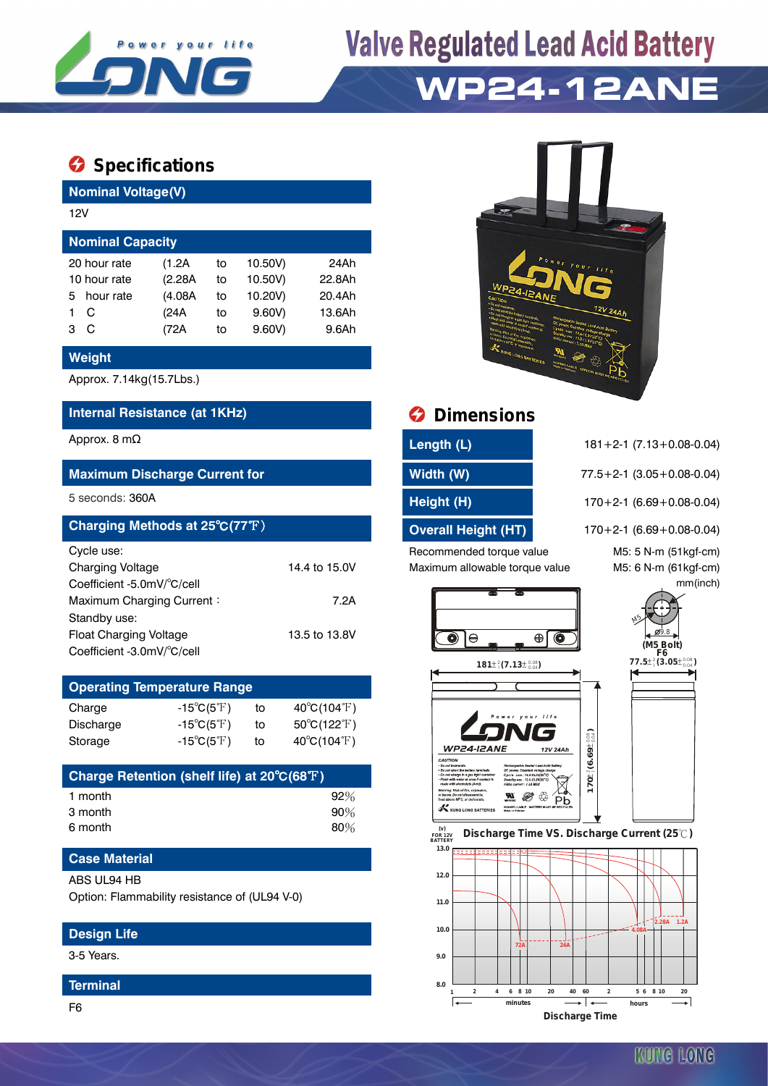

## **Valve Regulated Lead Acid Battery WP24-12ANE**

## **Specifications**

**Nominal Voltage(V)**

| 12V                     |         |    |         |        |  |  |
|-------------------------|---------|----|---------|--------|--|--|
| <b>Nominal Capacity</b> |         |    |         |        |  |  |
| 20 hour rate            | (1.2A   | to | 10.50V) | 24Ah   |  |  |
| 10 hour rate            | (2.28A) | to | 10.50V) | 22.8Ah |  |  |
| hour rate<br>5.         | (4.08A) | to | 10.20V) | 20.4Ah |  |  |
| C                       | (24A)   | to | 9.60V   | 13.6Ah |  |  |
| C<br>з                  | (72A    | to | 9.60V   | 9.6Ah  |  |  |
|                         |         |    |         |        |  |  |

## **Weight**

Approx. 7.14kg(15.7Lbs.)

## **Internal Resistance (at 1KHz) Dimensions**

## **Maximum Discharge Current for Width (W)** 77.5+2-1 (3.05+0.08-0.04)

| Charging Methods at 25°C(77°F) |               |  |  |
|--------------------------------|---------------|--|--|
| Cycle use:                     |               |  |  |
| <b>Charging Voltage</b>        | 14.4 to 15.0V |  |  |
| Coefficient -5.0mV/°C/cell     |               |  |  |
| Maximum Charging Current:      | 7.2A          |  |  |
| Standby use:                   |               |  |  |
| <b>Float Charging Voltage</b>  | 13.5 to 13.8V |  |  |
| Coefficient -3.0mV/°C/cell     |               |  |  |

| <b>Operating Temperature Range</b> |                            |    |                             |  |  |
|------------------------------------|----------------------------|----|-----------------------------|--|--|
| Charge                             | $-15^{\circ}C(5^{\circ}F)$ | tο | $40^{\circ}C(104^{\circ}F)$ |  |  |
| Discharge                          | $-15^{\circ}C(5^{\circ}F)$ | tο | $50^{\circ}C(122^{\circ}F)$ |  |  |
| Storage                            | $-15^{\circ}C(5^{\circ}F)$ | to | $40^{\circ}C(104^{\circ}F)$ |  |  |

| Charge Retention (shelf life) at 20°C(68°F) |        |
|---------------------------------------------|--------|
| 1 month                                     | 92%    |
| 3 month                                     | $90\%$ |
| 6 month                                     | 80%    |

## **Case Material**

## ABS UL94 HB

Option: Flammability resistance of (UL94 V-0)

## **Design Life**

3-5 Years.

#### **Terminal**



| Approx. 8 mΩ                         | Length (L)          | $181 + 2 - 1$ (7.13 + 0.08 - 0.04)  |
|--------------------------------------|---------------------|-------------------------------------|
| <b>Maximum Discharge Current for</b> | Width (W)           | $77.5 + 2 - 1$ (3.05 + 0.08 - 0.04) |
| 5 seconds: 360A                      | Height (H)          | $170+2-1$ (6.69 + 0.08-0.04)        |
| Charging Methods at 25°C(77°F)       | Overall Height (HT) | $170, 01$ $(6.60, 0.08, 0.01)$      |

Recommended torque value M5: 5 N-m (51kgf-cm) Maximum allowable torque value M5: 6 N-m (61kgf-cm)

**Charging Methods at 25°** 170+2-1 (6.69+0.08-0.04)

mm(inch)





 **FOR 12V BATTERY Discharge Time VS. Discharge Current (25 ℃)**